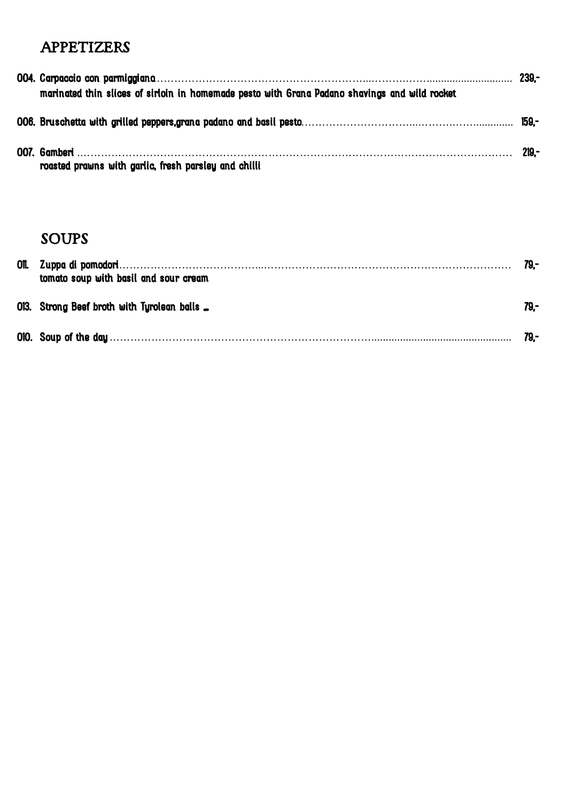#### APPETIZERS

| marinated thin slices of sirloin in homemade pesto with Grana Padano shavings and wild rocket |      |  |
|-----------------------------------------------------------------------------------------------|------|--|
|                                                                                               |      |  |
| roasted prawns with garlic, fresh parsley and chilli                                          | 219. |  |

#### SOUPS

| tomato soup with basil and sour cream      |      |
|--------------------------------------------|------|
| 013. Strong Beef broth with Tyrolean balls | 79.- |
|                                            | 79.- |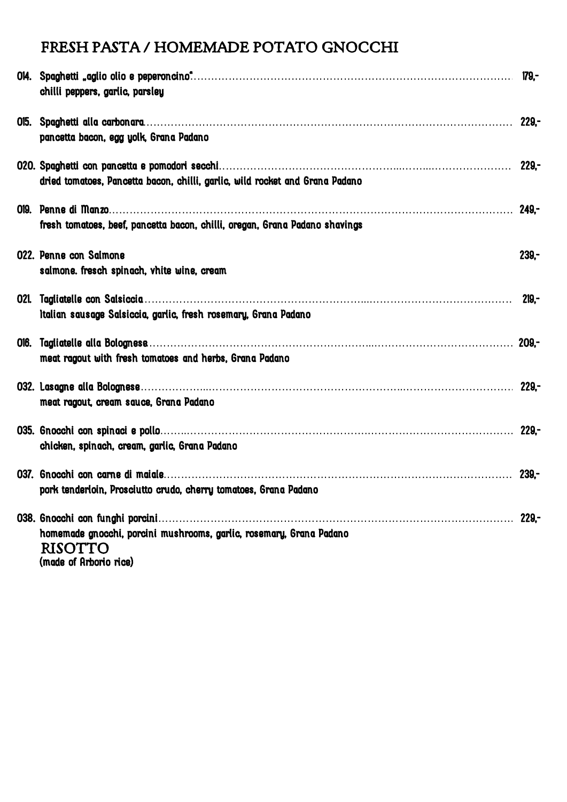# FRESH PASTA / HOMEMADE POTATO GNOCCHI

| chilli peppers, garlic, parsley                                                                                 |         |
|-----------------------------------------------------------------------------------------------------------------|---------|
| pancetta bacon, egg yolk, Grana Padano                                                                          |         |
| dried tomatoes, Pancetta bacon, chilli, garlic, wild rocket and Grana Padano                                    |         |
| fresh tomatoes, beef, pancetta bacon, chilli, oregan, Grana Padano shavings                                     |         |
| 022. Penne con Salmone<br>salmone. fresch spinach, vhite wine, cream                                            | $239 -$ |
| Italian sausage Salsiccia, garlic, fresh rosemary, Grana Padano                                                 |         |
| meat ragout with fresh tomatoes and herbs, Grana Padano                                                         |         |
| meat ragout, cream sauce, Grana Padano                                                                          |         |
| chicken, spinach, cream, garlic, Grana Padano                                                                   |         |
| pork tenderloin, Prosciutto crudo, cherry tomatoes, Grana Padano                                                |         |
| homemade gnocchi, porcini mushrooms, garlic, rosemary, Grana Padano<br><b>RISOTTO</b><br>(made of Arborio rice) | $229 -$ |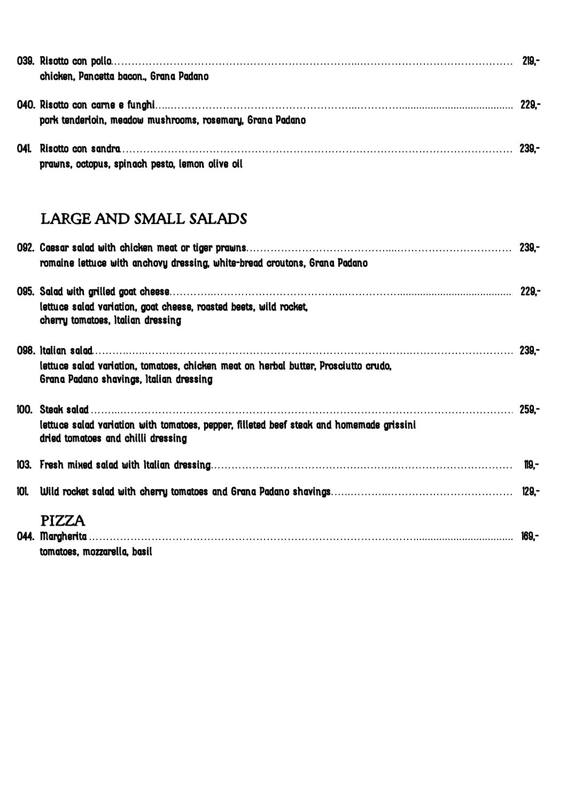| chicken, Pancetta bacon., Grana Padano                    |  |
|-----------------------------------------------------------|--|
| pork tenderloin, meadow mushrooms, rosemary, Grana Padano |  |
| prawns, octopus, spinach pesto, lemon olive oil           |  |

## LARGE AND SMALL SALADS

| romaine lettuce with anchovy dressing, white-bread croutons, Grana Padano                                                      |              |  |
|--------------------------------------------------------------------------------------------------------------------------------|--------------|--|
| lettuce salad variation, goat cheese, roasted beets, wild rocket,<br>cherry tomatoes, Italian dressing                         |              |  |
| lettuce salad variation, tomatoes, chicken meat on herbal butter, Prosciutto crudo,<br>Grana Padano shavings, Italian dressing | 239.-        |  |
| lettuce salad variation with tomatoes, pepper, filleted beef steak and homemade grissini<br>dried tomatoes and chilli dressing |              |  |
|                                                                                                                                | <b>119,-</b> |  |
|                                                                                                                                |              |  |
| PIZZA<br>tomatoes, mozzarella, basil                                                                                           | 169,-        |  |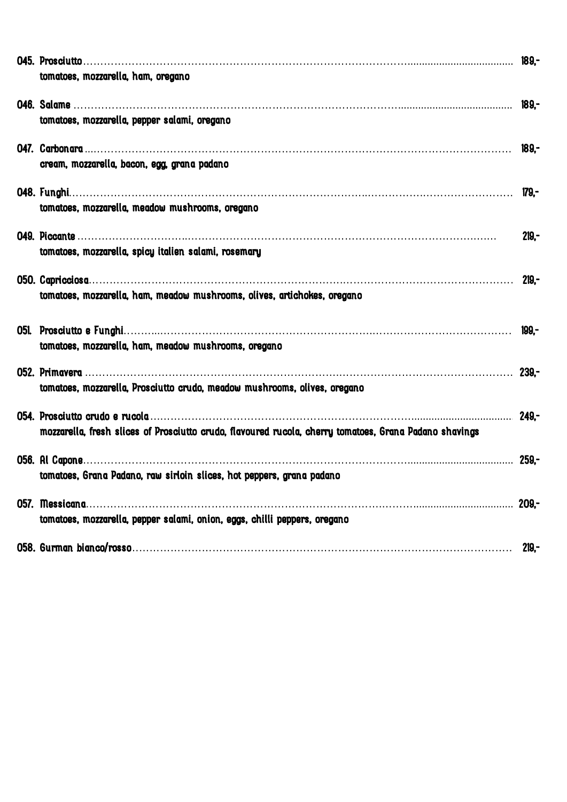| tomatoes, mozzarella, ham, oregano                                                                     |         |
|--------------------------------------------------------------------------------------------------------|---------|
| tomatoes, mozzarella, pepper salami, oregano                                                           |         |
| cream, mozzarella, bacon, egg, grana padano                                                            |         |
| tomatoes, mozzarella, meadow mushrooms, oregano                                                        |         |
| tomatoes, mozzarella, spicy italien salami, rosemary                                                   | $219 -$ |
| tomatoes, mozzarella, ham, meadow mushrooms, olives, artichokes, oregano                               |         |
| tomatoes, mozzarella, ham, meadow mushrooms, oregano                                                   |         |
| tomatoes, mozzarella, Prosciutto crudo, meadow mushrooms, olives, oregano                              |         |
| mozzarella, fresh slices of Prosciutto crudo, flavoured rucola, cherry tomatoes, Grana Padano shavings |         |
| tomatoes, Grana Padano, raw sirloin slices, hot peppers, grana padano                                  |         |
| tomatoes, mozzarella, pepper salami, onion, eggs, chilli peppers, oregano                              |         |
|                                                                                                        | $219 -$ |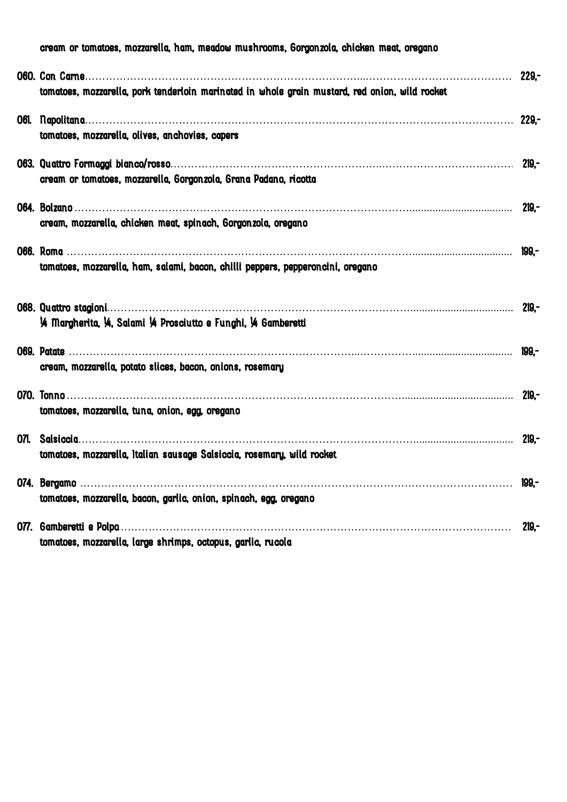| cream or tomatoes, mozzarella, ham, meadow mushrooms, Gorgonzola, chicken meat, oregano        |         |
|------------------------------------------------------------------------------------------------|---------|
| tomatoes, mozzarella, pork tenderloin marinated in whole grain mustard, red onion, wild rocket |         |
|                                                                                                |         |
| tomatoes, mozzarella, olives, anchovies, capers                                                | $229 -$ |
|                                                                                                |         |
| cream or tomatoes, mozzarella, Gorgonzola, Grana Padano, ricotta                               |         |
|                                                                                                |         |
| cream, mozzarella, chicken meat, spinach, Gorgonzola, oregano                                  |         |
| tomatoes, mozzarella, ham, salami, bacon, chilli peppers, pepperoncini, oregano                |         |
|                                                                                                |         |
| 14 Margherita, 14, Salami 14 Prosciutto e Funghi, 14 Gamberetti                                |         |
|                                                                                                |         |
| cream, mozzarella, potato slices, bacon, onions, rosemary                                      |         |
|                                                                                                |         |
| tomatoes, mozzarella, tuna, onion, egg, oregano                                                |         |
| 071. Salsiccia.                                                                                | 219.-   |
| tomatoes, mozzarella, Italian sausage Salsiccia, rosemary, wild rocket                         |         |
| tomatoes, mozzarella, bacon, garlic, onion, spinach, egg, oregano                              | 199.-   |
|                                                                                                |         |
|                                                                                                | 219,-   |
| tomatoes, mozzarella, large shrimps, octopus, garlic, rucola                                   |         |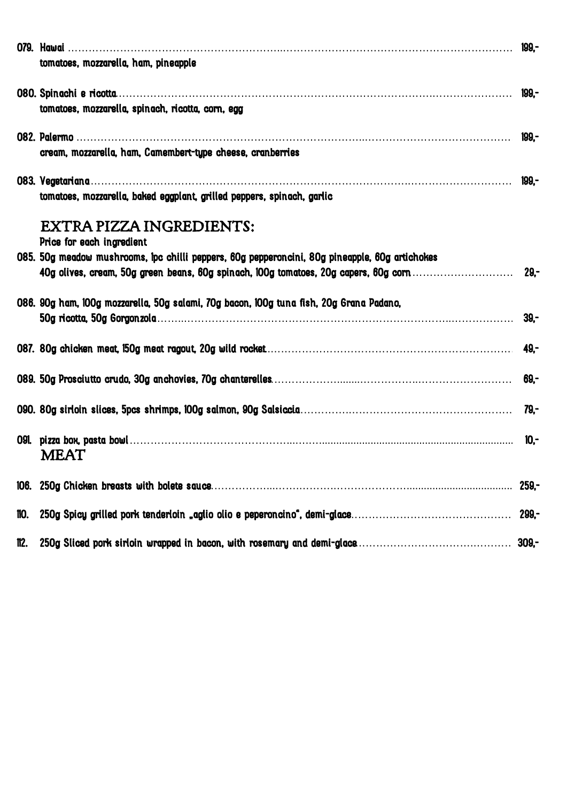|             | tomatoes, mozzarella, ham, pineapple                                                           |         |
|-------------|------------------------------------------------------------------------------------------------|---------|
|             |                                                                                                |         |
|             | tomatoes, mozzarella, spinach, ricotta, corn, egg                                              |         |
|             |                                                                                                |         |
|             | cream, mozzarella, ham, Camembert-type cheese, cranberries                                     |         |
|             |                                                                                                |         |
|             | tomatoes, mozzarella, baked eggplant, grilled peppers, spinach, garlic                         |         |
|             | EXTRA PIZZA INGREDIENTS:                                                                       |         |
|             | Price for each ingredient                                                                      |         |
|             | 085. 50g meadow mushrooms, lpc chilli peppers, 60g pepperoncini, 80g pineapple, 60g artichokes |         |
|             |                                                                                                |         |
|             | 086. 90g ham, 100g mozzarella, 50g salami, 70g bacon, 100g tuna fish, 20g Grana Padano,        |         |
|             |                                                                                                |         |
|             |                                                                                                |         |
|             |                                                                                                |         |
|             |                                                                                                |         |
|             |                                                                                                |         |
|             | <b>MEAT</b>                                                                                    |         |
|             |                                                                                                | $259 -$ |
| 110.        |                                                                                                | $299 -$ |
| <b>112.</b> |                                                                                                | $309 -$ |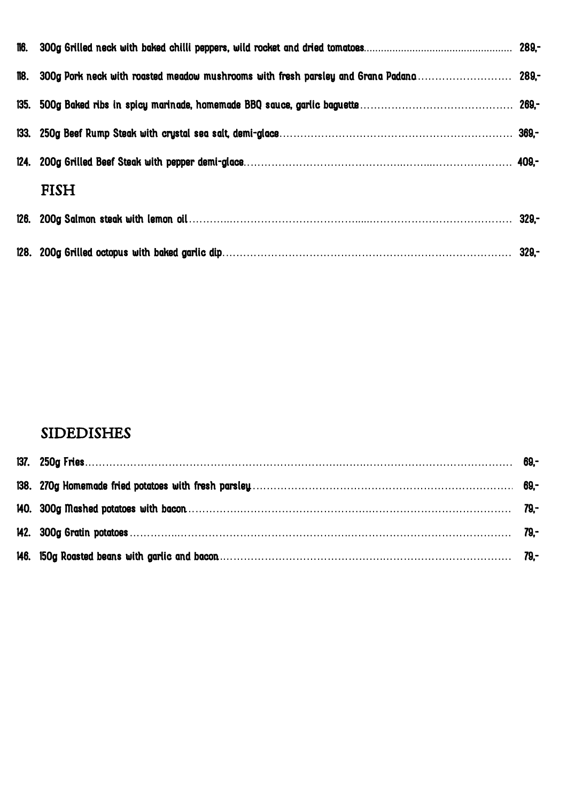| 118. 300g Pork neck with roasted meadow mushrooms with fresh parsley and Grana Padana  289,- |  |
|----------------------------------------------------------------------------------------------|--|
|                                                                                              |  |
|                                                                                              |  |
|                                                                                              |  |
| <b>FISH</b>                                                                                  |  |
|                                                                                              |  |
|                                                                                              |  |

### SIDEDISHES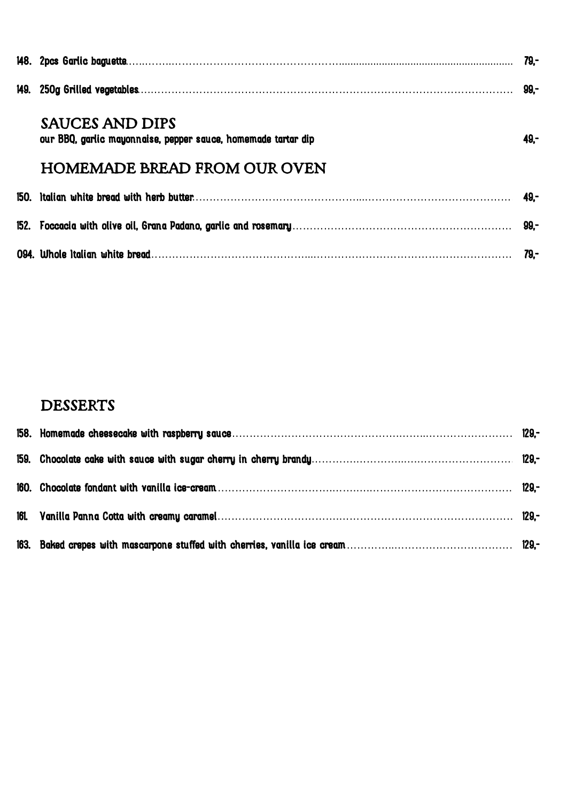| SAUCES AND DIPS<br>our BBQ, garlic mayonnaise, pepper sauce, homemade tartar dip | $49 -$ |
|----------------------------------------------------------------------------------|--------|
| <b>HOMEMADE BREAD FROM OUR OVEN</b>                                              |        |
|                                                                                  |        |
|                                                                                  |        |
|                                                                                  |        |

## **DESSERTS**